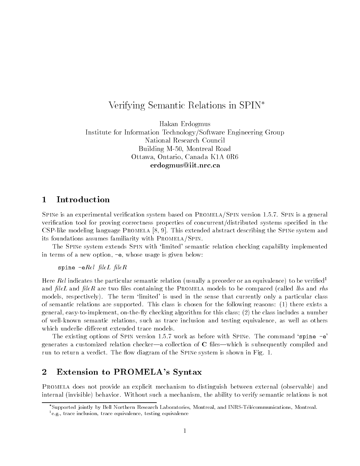# Verifying Semantic Relations in SPIN

Hakan Erdogmus Institute for Information Technology/Software Engineering Group National Research Council Building M-50, Montreal Road Ottawa, Ontario, Canada K1A 0R6 erdogmus@iit.nrc.ca

## 1 Introduction

SPINe is an experimental verification system based on PROMELA/SPIN version 1.5.7. SPIN is a general verification tool for proving correctness properties of concurrent/distributed systems specified in the CSP-like modeling language PROMELA [8, 9]. This extended abstract describing the SPINe system and its foundations assumes familiarity with PROMELA/SPIN.

The Spine system extends Spin with `limited' semantic relation checking capability implemented in terms of a new option, -e, whose usage is given below:

### spine -e $Rel$  fileL fileR

Here *Rel* indicates the particular semantic relation (usually a preorder or an equivalence) to be verified<sup>1</sup> and  $fileL$  and  $fileR$  are two files containing the PROMELA models to be compared (called lhs and rhs models, respectively). The term 'limited' is used in the sense that currently only a particular class of semantic relations are supported. This class is chosen for the following reasons: (1) there exists a general, easy-to-implement, on-they checking algorithm for this class; (2) the class includes a number of well-known semantic relations, such as trace inclusion and testing equivalence, as well as others which underlie different extended trace models.

The existing options of SPIN version 1.5.7 work as before with SPINe. The command 'spine -e' generates a customized relation checker—a collection of  $C$  files—which is subsequently compiled and run to return a verdict. The flow diagram of the SPINe system is shown in Fig. 1.

### 2 Extension to PROMELA's Syntax

Promela does not provide an explicit mechanism to distinguish between external (observable) and internal (invisible) behavior. Without such a mechanism, the ability to verify semantic relations is not

Supported jointly by Bell Northern Research Laboratories, Montreal, and INRS-Telecommunications, Montreal.

<sup>&</sup>lt;sup>1</sup>e.g., trace inclusion, trace equivalence, testing equivalence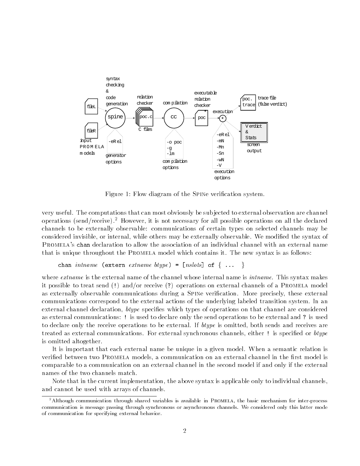

Figure 1: Flow diagram of the Spine verication system.

very useful. The computations that can most obviously be sub jected to external observation are channel operations (send/receive).<sup>2</sup> However, it is not necessary for all possible operations on all the declared channels to be externally observable: communications of certain types on selected channels may be considered invisible, or internal, while others may be externally observable. We modied the syntax of Promela's chan declaration to allow the association of an individual channel with an external name that is unique throughout the Promela model which contains it. The new syntax is as follows:

```
chan intname (extern extname btype) = [nslosts] of \{ \ldots \}
```
where *extname* is the external name of the channel whose internal name is *intname*. This syntax makes it possible to treat send (!) and/or receive (?) operations on external channels of a Promela model as externally observable communications during a SPINe verification. More precisely, these external communications correspond to the external actions of the underlying labeled transition system. In an external channel declaration, *btype* specifies which types of operations on that channel are considered as external communications: ! is used to declare only the send operations to be external and ? is used to declare only the receive operations to be external. If *btype* is omitted, both sends and receives are treated as external communications. For external synchronous channels, either ! is specified or btype is omitted altogether.

It is important that each external name be unique in a given model. When a semantic relation is verified between two PROMELA models, a communication on an external channel in the first model is comparable to a communication on an external channel in the second model if and only if the external names of the two channels match.

Note that in the current implementation, the above syntax is applicable only to individual channels, and cannot be used with arrays of channels.

<sup>&</sup>lt;sup>2</sup>Although communication through shared variables is available in PROMELA, the basic mechanism for inter-process communication is message passing through synchronous or asynchronous channels. We considered only this latter mode of communication for specifying external behavior.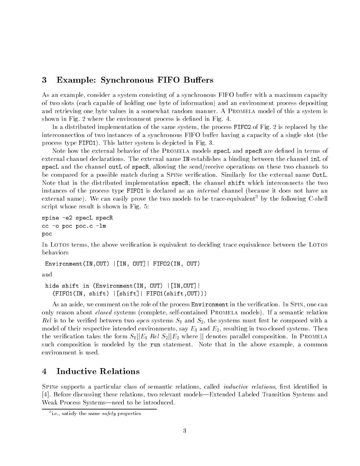## 3 Example: Synchronous FIFO Buffers

As an example, consider a system consisting of a synchronous FIFO buffer with a maximum capacity of two slots (each capable of holding one byte of information) and an environment process depositing and retrieving one byte values in a somewhat random manner. A PROMELA model of this a system is shown in Fig. 2 where the environment process is defined in Fig. 4.

In a distributed implementation of the same system, the process FIFO2 of Fig. 2 is replaced by the interconnection of two instances of a synchronous FIFO buffer having a capacity of a single slot (the process type FIFO1). This latter system is depicted in Fig. 3.

Note how the external behavior of the PROMELA models specL and specR are defined in terms of external channel declarations. The external name IN establishes a binding between the channel inL of specL and the channel outL of specR, allowing the send/receive operations on these two channels to be compared for a possible match during a Spine verication. Similarly for the external name OutL. Note that in the distributed implementation specR, the channel shift which interconnects the two instances of the process type FIFO1 is declared as an *internal* channel (because it does not have an external name). We can easily prove the two models to be trace-equivalent <sup>3</sup> by the following C-shell script whose result is shown in Fig. 5:

```
spine -e2 specL specR
cc -o poc poc.c -lm
poc
```
In Lotos terms, the above verification is equivalent to deciding trace equivalence between the Lotos behaviors

Environment(IN,OUT) |[IN, OUT]| FIFO2(IN, OUT)

and

hide shift in (Environment(IN, OUT) |[IN,OUT]| (FIFO1(IN, shift) |[shift]| FIFO1(shift,OUT)))

As an aside, we comment on the role of the process **Environment** in the verification. In SPIN, one can only reason about *closed* systems (complete, self-contained PROMELA models). If a semantic relation Rel is to be veried between two open systems S1 and S2, the systems must rst be composed with a model of their respective intended environments, say  $E_1$  and  $E_2$ , resulting in two closed systems. Then the verification takes the form  $S_1||E_1$  Rel  $S_2||E_2$  where  $||$  denotes parallel composition. In PROMELA such composition is modeled by the run statement. Note that in the above example, a common environment is used.

# 4 Inductive Relations

SPINe supports a particular class of semantic relations, called *inductive relations*, first identified in [4]. Before discussing these relations, two relevant models—Extended Labeled Transition Systems and Weak Process Systems—need to be introduced.

<sup>3</sup> i.e., satisfy the same safety properties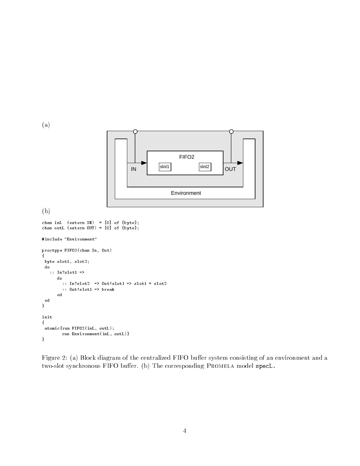

Figure 2: (a) Block diagram of the centralized FIFO buffer system consisting of an environment and a two-slot synchronous FIFO buffer. (b) The corresponding PROMELA model specL.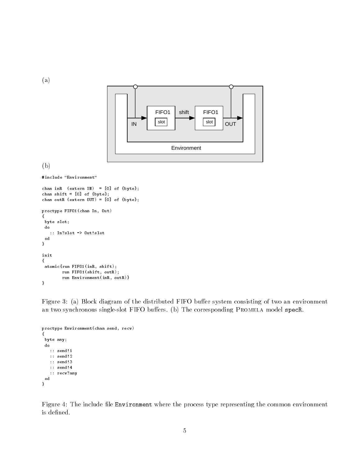(a)



(b)

```
#include "Environment"
```

```
chan inR (\text{external N}) = [0] of \{\text{byte}\};chan shift = [0] of \{byte\};chan outR (extern OUT) = [0] of {byte};
proctype FIFO1(chan In, Out)
{
byte slot;
do
  :: In?slot -> Out!slot
 od
}
init
{
atomic{run FIFO1(inR, shift);
        run FIFO1(shift, outR);
        run Environment(inR, outR)}
}
```
Figure 3: (a) Block diagram of the distributed FIFO buffer system consisting of two an environment an two synchronous single-slot FIFO buffers. (b) The corresponding PROMELA model specR.

```
proctype Environment(chan send, recv)
{
byte any;
do
   :: send!1
  :: send!2
  :: send!3
  :: send!4
   :: recv?any
 od
}
```
Figure 4: The include file Environment where the process type representing the common environment is defined.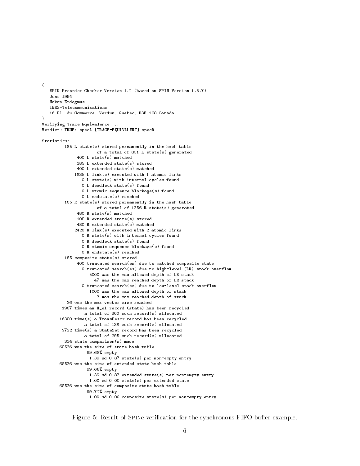```
SPIN Preorder Checker Version 1.2 (based on SPIN Version 1.5.7)
   June 1994
  Hakan Erdogmus
  INRS-Telecommunications
  16 Pl. du Commerce, Verdun, Quebec, H3E 1C8 Canada
)
Verifying Trace Equivalence ...
Verdict: TRUE: specL [TRACE-EQUIVALENT] specR
Statistics:
         185 L state(s) stored permanently in the hash table
                      of a total of 851 L state(s) generated
              400 L state(s) matched
              185 L extended state(s) stored
              400 L extended state(s) matched
             1835 L link(s) executed with 1 atomic links
                0 L state(s) with internal cycles found
                0 L deadlock state(s) found
                0 L atomic sequence blockage(s) found
                0 L endstate(s) reached
         105 R state(s) stored permanently in the hash table
                      of a total of 1356 R state(s) generated
              480 R state(s) matched105 R extended state(s) stored
              480 R extended state(s) matched
             2420 R link(s) executed with 2 atomic links
                0 R state(s) with internal cycles found
                0 R deadlock state(s) found
                0 R atomic sequence blockage(s) found
                0 R endstate(s) reached
         185 composite state(s) stored
              400 truncated search(es) due to matched composite state
                0 truncated search(es) due to high-level (LR) stack overflow
                   5000 was the max allowed depth of LR stack
                     47 was the max reached depth of LR stack
                0 truncated search(es) due to low-level stack overflow
                   1000 was the max allowed depth of stack
                    1000 was the max allowed depth of stack
                      3 was the max reached depth of stack
          36 was the max vector size reached
        1907 times an H el record (state) has been recycled
        1907 times and Hel record (state) has been record (state) has been record (state) has been recycled (state) has been recycled (state) \mua total of 300 such record(s) allocated
       16350 time(s) a TransDescr record has been recycled
       16350 time(s) a TransDescr record has been recycled
                 a total of 138 such record(s) allocated
        2792 time(s) a StateSet record has been recycled
                 a total of 295 such record(s) allocated
         334 state comparison(s) made
       65536 was the size of state hash table
                  99.68% empty
                   1.39 sd 0.87 state(s) per non-empty entry
       65536 was the size of extended state hash table
                  99.68% empty
                   1.39 sd 0.87 extended state(s) per non-empty entry
                   1.00 sd 0.00 state(s) per extended state
       65536 was the size of composite state hash table
                  99.72% empty
                   1.00 sd 0.00 composite state(s) per non-empty entry
```
(

Figure 5: Result of SPINe verification for the synchronous FIFO buffer example.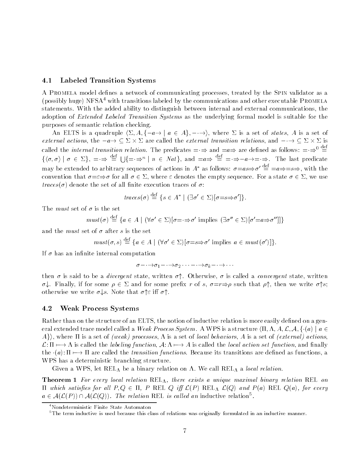#### 4.1Labeled Transition Systems

A PROMELA model defines a network of communicating processes, treated by the SPIN validator as a (possibly huge) NFSA<sup>4</sup> with transitions labeled by the communications and other executable PROMELA statements. With the added ability to distinguish between internal and external communications, the adoption of *Extended Labeled Transition Systems* as the underlying formal model is suitable for the purposes of semantic relation checking.

An ELTS is a quadruple  $\langle \Sigma, A, \{-a \rightarrow | a \in A\}, -\rightarrow \rangle$ , where  $\Sigma$  is a set of *states*, A is a set of external actions, the  $\frac{-u}{2} \subseteq \mathbb{Z} \wedge \mathbb{Z}$  are called the external transition relations, and  $\frac{-\cdot}{2} \subseteq \mathbb{Z} \wedge \mathbb{Z}$  is called the *internal transition relation*. The predicates  $= \Rightarrow$  and  $=a \Rightarrow$  are defined as follows:  $= \Rightarrow^0 \stackrel{\text{def}}{=}$  $\{\langle \sigma, \sigma \rangle \mid \sigma \in \Sigma\}, = \Rightarrow \equiv \cup \{=\Rightarrow^n \mid n \in Nat\},\$  and  $=a \Rightarrow \equiv = \Rightarrow -a \rightarrow = \Rightarrow$ . The last predicate may be extended to arbitrary sequences of actions in  $A^*$  as follows:  $\sigma = as \Rightarrow \sigma' \stackrel{\text{def}}{=} = a \Rightarrow = s \Rightarrow$ , with the convention that  $\sigma = \varepsilon \Rightarrow \sigma$  for all  $\sigma \in \Sigma$ , where  $\varepsilon$  denotes the empty sequence. For a state  $\sigma \in \Sigma$ , we use traces( $\sigma$ ) denote the set of all finite execution traces of  $\sigma$ :

$$
traces(\sigma) \stackrel{\text{def}}{=} \{ s \in A^* \mid (\exists \sigma' \in \Sigma) [\sigma = s \Rightarrow \sigma'] \}.
$$

The *must* set of  $\sigma$  is the set

$$
must(\sigma) \stackrel{\text{def}}{=} \{ a \in A \mid (\forall \sigma' \in \Sigma) [\sigma = \Rightarrow \sigma' \text{ implies } (\exists \sigma'' \in \Sigma) [\sigma' = a \Rightarrow \sigma''] ] \}
$$

and the *must* set of  $\sigma$  after s is the set

$$
must(\sigma, s) \stackrel{\text{def}}{=} \{a \in A \mid (\forall \sigma' \in \Sigma)[\sigma = s \Rightarrow \sigma' \text{ implies } a \in must(\sigma')]\}.
$$

If  $\sigma$  has an infinite internal computation

$$
\sigma-\cdot\!\rightarrow\!\!\sigma_1-\cdot\!\rightarrow\!\!\sigma_2\cdot\cdot\cdot-\cdot\!\rightarrow\!\sigma_k-\cdot\!\rightarrow\cdot\cdot\cdot
$$

then  $\sigma$  is said to be a *divergent* state, written  $\sigma$ <sup>4</sup>. Otherwise,  $\sigma$  is called a *convergent* state, written  $\sigma$ . Finally, if for some  $\rho \in \Sigma$  and for some prefix r of s,  $\sigma = r \Rightarrow \rho$  such that  $\rho \uparrow$ , then we write  $\sigma \uparrow s$ ; otherwise we write  $\sigma \downarrow s$ . Note that  $\sigma \uparrow \varepsilon$  iff  $\sigma \uparrow$ .

#### 4.2Weak Process Systems

Rather than on the structure of an ELTS, the notion of inductive relation is more easily defined on a general extended trace model called a *Weak Process System.* A WPS is a structure  $\langle \Pi, \Lambda, A, \mathcal{L}, \mathcal{A}, \{\cdot(a) \mid a \in \mathcal{L}\}\rangle$  $\{A\}$ , where  $\Pi$  is a set of (weak) processes,  $\Lambda$  is a set of local behaviors,  $A$  is a set of (external) actions,  $\mathcal{L}:\Pi\longmapsto\Lambda$  is called the *labeling function*,  $\mathcal{A}:\Lambda\longmapsto\Lambda$  is called the *local action set function*, and finally the  $(a): \Pi \mapsto \Pi$  are called the *transition functions*. Because its transitions are defined as functions, a WPS has a deterministic branching structure.

Given a WPS, let  $REL_A$  be a binary relation on  $\Lambda$ . We call  $REL_A$  a local relation.

**Theorem 1** For every local relation  $REL_{\Lambda}$ , there exists a unique maximal binary relation REL on  $\Pi$  which satisfies for all  $P,Q \in \Pi$ , P REL  $Q$  iff  $\mathcal{L}(P)$  REL  $\mathcal{L}(Q)$  and  $P(a)$  REL  $Q(a)$ , for every  $a \in \mathcal{A}(\mathcal{L}(P)) \cap \mathcal{A}(\mathcal{L}(Q))$ . The relation REL is called an inductive relation  $\cdot$ .

<sup>4</sup>Nondeterministic Finite State Automaton

<sup>&</sup>lt;sup>5</sup>The term inductive is used because this class of relations was originally formulated in an inductive manner.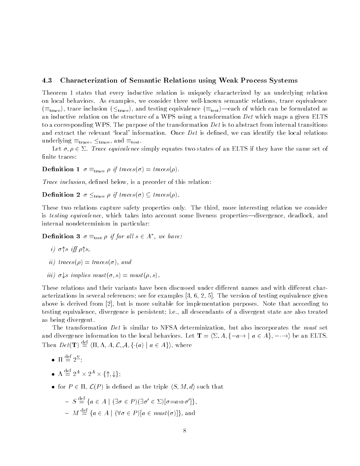#### 4.3Characterization of Semantic Relations using Weak Process Systems

Theorem 1 states that every inductive relation is uniquely characterized by an underlying relation on local behaviors. As examples, we consider three well-known semantic relations, trace equivalence  $(\equiv_{\text{trace}})$ , trace inclusion ( $\leq_{\text{trace}}$ ), and testing equivalence ( $\equiv_{\text{test}}$ )—each of which can be formulated as an inductive relation on the structure of a WPS using a transformation Det which maps a given ELTS to a corresponding WPS. The purpose of the transformation  $Det$  is to abstract from internal transitions and extract the relevant 'local' information. Once  $Det$  is defined, we can identify the local relations underlying  $\equiv_{\text{trace}}$ ,  $\leq_{\text{trace}}$ , and  $\equiv_{\text{test}}$ .

Let  $\sigma, \rho \in \Sigma$ . Trace equivalence simply equates two states of an ELTS if they have the same set of finite traces:

**Definition 1**  $\sigma \equiv_{\text{trace}} \rho$  if traces( $\sigma$ ) = traces( $\rho$ ).

Trace inclusion, defined below, is a preorder of this relation:

**Definition 2**  $\sigma \leq_{\text{trace}} \rho$  if traces( $\sigma$ )  $\subseteq$  traces( $\rho$ ).

These two relations capture safety properties only. The third, more interesting relation we consider is *testing equivalence*, which takes into account some liveness properties—divergence, deadlock, and internal nondeterminism in particular:

**Definition 3**  $\sigma \equiv_{\text{test}} \rho$  if for all  $s \in A^*$ , we have:

- $\cdots$  is the state  $\cdots$
- ii) traces( $\rho$ ) = traces( $\sigma$ ), and
- $iii)$   $\cup$   $\downarrow$ s implies must  $(\cup, s)$  = must  $(\nu, s)$ .

These relations and their variants have been discussed under different names and with different characterizations in several references; see for examples [3, 6, 2, 5]. The version of testing equivalence given above is derived from [2], but is more suitable for implementation purposes. Note that according to testing equivalence, divergence is persistent; i.e., all descendants of a divergent state are also treated as being divergent.

The transformation Det is similar to NFSA determinization, but also incorporates the *must* set and divergence information to the local behaviors. Let  $\mathbf{T} = \langle \Sigma, A, \{-a \rightarrow \mid a \in A\}, - \rightarrow \rangle$  be an ELTS. Then  $Det(T) \stackrel{\text{def}}{=} \langle \Pi, \Lambda, A, \mathcal{L}, \mathcal{A}, \{\cdot(a) \mid a \in A\} \rangle$ , where

- def = 2 ;
- $\Lambda \equiv 2^{\circ} \times 2^{\circ} \times \{\uparrow, \downarrow\};$
- for  $P \in \Pi$ ,  $\mathcal{L}(P)$  is defined as the triple  $\langle S, M, d \rangle$  such that

$$
- S \stackrel{\text{def}}{=} \{ a \in A \mid (\exists \sigma \in P) (\exists \sigma' \in \Sigma) [\sigma = a \Rightarrow \sigma'] \},
$$
  

$$
- M \stackrel{\text{def}}{=} \{ a \in A \mid (\forall \sigma \in P) [a \in must(\sigma)] \},
$$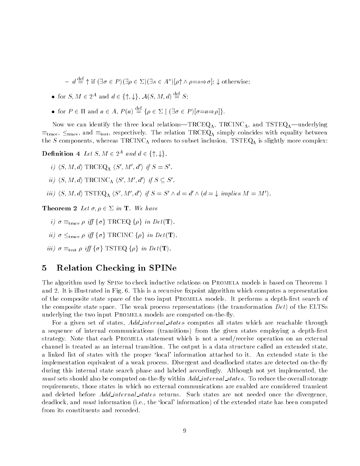$d = d \equiv \uparrow \text{ if } (\exists \sigma \in P)(\exists \rho \in \Sigma)(\exists s \in A^*) [\rho \uparrow \wedge \rho = s \Rightarrow \sigma]; \downarrow \text{ otherwise};$ 

- for S,  $M \in 2^A$  and  $d \in \{ \uparrow, \downarrow \}, \mathcal{A}(S, M, d) \equiv S;$
- for  $P \in \Pi$  and  $a \in A$ ,  $P(a) \stackrel{\text{def}}{=} \{ \rho \in \Sigma \mid (\exists \sigma \in P) [\sigma = a \Rightarrow \rho] \}.$

Now we can identify the three local relations-TRCEQ<sub>A</sub>, TRCINC<sub>A</sub>, and TSTEQ<sub>A</sub>-underlying  $\equiv_{\text{trace}}$ ,  $\leq_{\text{trace}}$ , and  $\equiv_{\text{test}}$ , respectively. The relation TRCEQ<sub>A</sub> simply coincides with equality between the S components, whereas TRCINC<sub>A</sub> reduces to subset inclusion. TSTEQ<sub>A</sub> is slightly more complex:

**Denmition** 4 Let  $S, M \in \mathbb{Z}^+$  and  $a \in \{1, \downarrow\}$ .

- i)  $\langle S, M, d \rangle$  TRCEQ<sub>A</sub>  $\langle S', M', d' \rangle$  if  $S = S'.$
- ii)  $\langle S, M, d \rangle$  TRCINC  $\Lambda$   $\langle S', M', d' \rangle$  if  $S \subseteq S'.$
- iii)  $\langle S, M, d \rangle$  TSTEQ  $_A \langle S', M', d' \rangle$  if  $S = S' \wedge d = d' \wedge (d = \downarrow$  implies  $M = M')$ .

**Theorem 2** Let  $\sigma, \rho \in \Sigma$  in **T**. We have

- $\psi$   $\theta$  =trace  $\beta$   $\psi$  i fg  $\theta$  is true to  $\alpha$  if the Det (T).
- $\mu_i$   $\sigma$   $\geq$  trace  $\mu$   $\eta$   $\eta$   $\sigma$   $\epsilon$  in Det (T).
- $\mu_{ij}$   $\sigma =$ test  $\mu$   $\epsilon_{ij}$   $\gamma$  or the Eqs.  $\gamma$  is the Det (T).

### 5 Relation Checking in SPINe

The algorithm used by Spine to check inductive relations on Promela models is based on Theorems 1 and 2. It is illustrated in Fig. 6. This is a recursive fixpoint algorithm which computes a representation of the composite state space of the two input PROMELA models. It performs a depth-first search of the composite state space. The weak process representations (the transformation  $Det$ ) of the ELTSs underlying the two input PROMELA models are computed on-the-fly.

For a given set of states, Add internal states computes all states which are reachable through a sequence of internal communications (transitions) from the given states employing a depth-first strategy. Note that each Promela statement which is not a send/receive operation on an external channel is treated as an internal transition. The output is a data structure called an extended state, a linked list of states with the proper `local' information attached to it. An extended state is the implementation equivalent of a weak process. Divergent and deadlocked states are detected on-the-fly during this internal state search phase and labeled accordingly. Although not yet implemented, the  $m$  , and the states shower and the computed on-the-distribution and states. The reduce the overall storage  $\sim$ requirements, those states in which no external communications are enabled are considered transient and deleted before *Add internal states* returns. Such states are not needed once the divergence. deadlock, and *must* information (i.e., the 'local' information) of the extended state has been computed from its constituents and recorded.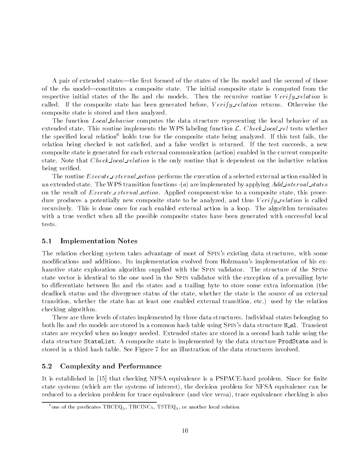A pair of extended states—the first formed of the states of the lhs model and the second of those of the rhs model—constitutes a composite state. The initial composite state is computed from the respective initial states of the lhs and rhs models. Then the recursive routine  $Verify\_relation$  is called. If the composite state has been generated before,  $Verify$ -relation returns. Otherwise the composite state is stored and then analyzed.

The function *Local behavior* computes the data structure representing the local behavior of an extended state. This routine implements the WPS labeling function  $\mathcal{L}$ . Check local rel tests whether the specified local relation<sup>6</sup> holds true for the composite state being analyzed. If this test fails, the relation being checked is not satised, and a false verdict is returned. If the test succeeds, a new composite state is generated for each external communication (action) enabled in the current composite state. Note that *Check local relation* is the only routine that is dependent on the inductive relation being verified.

The routine *Execute external action* performs the execution of a selected external action enabled in an extended state. The WPS transition functions  $(a)$  are implemented by applying Add internal states on the result of *Execute\_external\_action*. Applied component-wise to a composite state, this procedure produces a potentially new composite state to be analyzed, and thus Verify\_relation is called recursively. This is done once for each enabled external action in a loop. The algorithm terminates with a true verdict when all the possible composite states have been generated with successful local tests.

#### 5.1Implementation Notes

The relation checking system takes advantage of most of Spin's existing data structures, with some modications and additions. Its implementation evolved from Holzmann's implementation of his exhaustive state exploration algorithm supplied with the SPIN validator. The structure of the SPINe state vector is identical to the one used in the Spin validator with the exception of a prevailing byte to differentiate between lhs and rhs states and a trailing byte to store some extra information (the deadlock status and the divergence status of the state, whether the state is the source of an external transition, whether the state has at least one enabled external transition, etc.) used by the relation checking algorithm.

There are three levels of states implemented by three data structures. Individual states belonging to both lhs and rhs models are stored in a common hash table using SPIN's data structure H\_e1. Transient states are recycled when no longer needed. Extended states are stored in a second hash table using the data structure StateList. A composite state is implemented by the data structure ProdState and is stored in a third hash table. See Figure 7 for an illustration of the data structures involved.

#### 5.2Complexity and Performance

It is established in [15] that checking NFSA equivalence is a PSPACE-hard problem. Since for finite state systems (which are the systems of interest), the decision problem for NFSA equivalence can be reduced to a decision problem for trace equivalence (and vice versa), trace equivalence checking is also

<sup>&</sup>lt;sup>6</sup>one of the predicates TRCEQ<sub>A</sub>, TRCINC<sub>A</sub>, TSTEQ<sub>A</sub>, or another local relation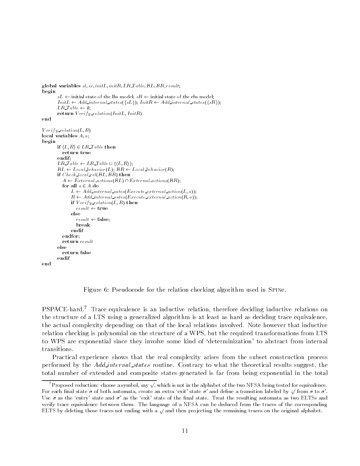```
global variables s_i, s_i; initL, initR, LR. I able; BL, BR, result;
beginsL \leftarrow initial state of the lhs model; sR \leftarrow initial state of the rhs model;
        InitL \leftarrow Add\_internal\_states(\lbrace sL \rbrace);InitR \leftarrow Add\_internal\_states(\lbrace sR \rbrace);LR\_{Table} \leftarrow \emptyset;return van die eerste verlationen van die p
endVerify\_relation(L, R)local variables A; a;
beginif \langle L, R \rangle \in LR\_Table then
          return trueendif;
        LR\_Table \leftarrow LR\_Table \cup \{\langle L,R \rangle\};BL \leftarrow Local\ behavior(L); BR \leftarrow Local\ behavior(R);\cdots check local release \cdotsA \leftarrow External\_actions(BL) \cap External\_actions(BR);for all a \in A do
               L \leftarrow Add\_internal\_sates(Execute\_external\_action(L, a));R \leftarrow Add\_internal\_sates(Execute\_external\_action(R, a));\mathbf{u} , erificiation (Eq. 2) then the m
                  result \leftarrow trueelseresult \leftarrow false;breakendif
                \sim and \simendfor;
          return result
        elsereturn falseendif
        \sim and \simend
```
Figure 6: Pseudocode for the relation checking algorithm used in Spine.

PSPACE-hard.<sup>7</sup> Trace equivalence is an inductive relation, therefore deciding inductive relations on the structure of a LTS using a generalized algorithm is at least as hard as deciding trace equivalence, the actual complexity depending on that of the local relations involved. Note however that inductive relation checking is polynomial on the structure of a WPS, but the required transformations from LTS to WPS are exponential since they involve some kind of `determinization' to abstract from internal transitions.

Practical experience shows that the real complexity arises from the subset construction process performed by the *Add internal states* routine. Contrary to what the theoretical results suggest, the total number of extended and composite states generated is far from being exponential in the total

Proposed reduction: choose a symbol, say  $\sqrt{ }$ , which is not in the alphabet of the two NFSA being tested for equivalence. For each final state  $\sigma$  of both automata, create an extra 'exit' state  $\sigma'$  and define a transition labeled by  $\sqrt{}$  from  $\sigma$  to  $\sigma'$ . Use  $\sigma$  as the 'entry' state and  $\sigma'$  as the 'exit' state of the final state. Treat the resulting automata as two ELTSs and verify trace equivalence between them. The language of a NFSA can be deduced from the traces of the corresponding ELTS by deleting those traces not ending with a  $\sqrt{ }$  and then projecting the remaining traces on the original alphabet.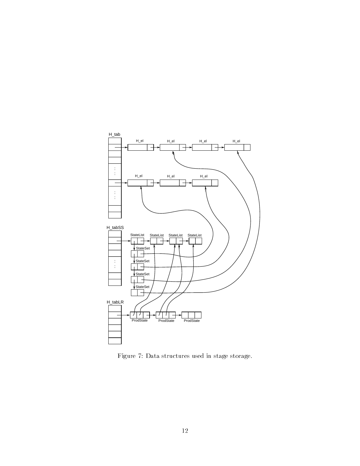

Figure 7: Data structures used in stage storage.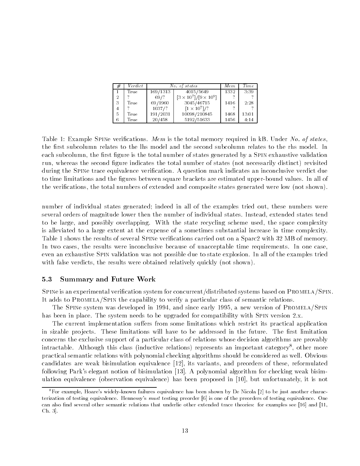| # | Verdict | No. of states |                                   | Mem  | Time  |
|---|---------|---------------|-----------------------------------|------|-------|
|   | True    | 169/1313      | $40\overline{15/5649}$            | 1332 | 3:39  |
| 2 |         | 69/?          | $[3 \times 10^7]/[9 \times 10^9]$ |      |       |
| 3 | True    | 69/1960       | 3045/46715                        | 1416 | 2:28  |
|   | ິ       | 1037/?        | $[1 \times 10^7]/?$               |      |       |
| 5 | True    | 191/2031      | 10098/210845                      | 1468 | 13:01 |
| 6 | True    | 20/458        | 5192/51633                        | 1456 | 4:14  |

Table 1: Example SPINe verifications. Mem is the total memory required in kB. Under No. of states, the first subcolumn relates to the lhs model and the second subcolumn relates to the rhs model. In each subcolumn, the first figure is the total number of states generated by a SPIN exhaustive validation run, whereas the second figure indicates the total number of states (not necessarily distinct) revisited during the SPINe trace equivalence verification. A question mark indicates an inconclusive verdict due to time limitations and the figures between square brackets are estimated upper-bound values. In all of the verifications, the total numbers of extended and composite states generated were low (not shown).

number of individual states generated; indeed in all of the examples tried out, these numbers were several orders of magnitude lower then the number of individual states. Instead, extended states tend to be large, and possibly overlapping. With the state recycling scheme used, the space complexity is alleviated to a large extent at the expense of a sometimes substantial increase in time complexity. Table 1 shows the results of several Spine verications carried out on a Sparc2 with 32 MB of memory. In two cases, the results were inconclusive because of unacceptable time requirements. In one case, even an exhaustive Spin validation was not possible due to state explosion. In all of the examples tried with false verdicts, the results were obtained relatively quickly (not shown).

#### 5.3Summary and Future Work

Spine is an experimental verication system for concurrent/distributed systems based on Promela/Spin. It adds to PROMELA/SPIN the capability to verify a particular class of semantic relations.

The SPINe system was developed in 1994, and since early 1995, a new version of PROMELA/SPIN has been in place. The system needs to be upgraded for compatibility with SPIN version 2.x.

The current implementation suffers from some limitations which restrict its practical application in sizable projects. These limitations will have to be addressed in the future. The first limitation concerns the exclusive support of a particular class of relations whose decision algorithms are provably intractable. Although this class (inductive relations) represents an important category , other more practical semantic relations with polynomial checking algorithms should be considered as well. Obvious candidates are weak bisimulation equivalence [12], its variants, and preorders of these, reformulated following Park's elegant notion of bisimulation [13]. A polynomial algorithm for checking weak bisimulation equivalence (observation equivalence) has been proposed in [10], but unfortunately, it is not

<sup>8</sup>For example, Hoare's widely-known failures equivalence has been shown by De Nicola [2] to be just another characterization of testing equivalence. Hennessy's must testing preorder [6] is one of the preorders of testing equivalence. One can also find several other semantic relations that underlie other extended trace theories: for examples see  $[16]$  and  $[11]$ , Ch. 3].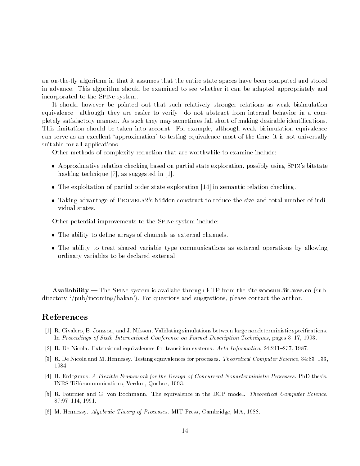an on-the-fly algorithm in that it assumes that the entire state spaces have been computed and stored in advance. This algorithm should be examined to see whether it can be adapted appropriately and incorporated to the Spine system.

It should however be pointed out that such relatively stronger relations as weak bisimulation equivalence—although they are easier to verify—do not abstract from internal behavior in a completely satisfactory manner. As such they may sometimes fall short of making desirable identications. This limitation should be taken into account. For example, although weak bisimulation equivalence can serve as an excellent `approximation' to testing equivalence most of the time, it is not universally suitable for all applications.

Other methods of complexity reduction that are worthwhile to examine include:

- Approximative relation checking based on partial state exploration, possibly using Spin's bitstate hashing technique [7], as suggested in [1].
- $\bullet$  The exploitation of partial order state exploration [14] in semantic relation checking.
- Taking advantage of Promela2's hidden construct to reduce the size and total number of individual states.

Other potential improvements to the Spine system include:

- The ability to define arrays of channels as external channels.
- The ability to treat shared variable type communications as external operations by allowing ordinary variables to be declared external.

Availability  $-$  The SPINe system is availabe through FTP from the site zoosun.iit.nrc.ca (subdirectory '/pub/incoming/hakan'). For questions and suggestions, please contact the author.

### References

- [1] R. Civalero, B. Jonsson, and J. Nilsson. Validating simulations between large nondeterministic specications. In Proceedings of Sixth International Conference on Formal Description Techniques, pages 3-17, 1993.
- [2] R. De Nicola. Extensional equivalences for transition systems. Acta Informatica, 24:211-237, 1987.
- [3] R. De Nicola and M. Hennessy. Testing equivalences for processes. Theoretical Computer Science, 34:83-133, 1984.
- [4] H. Erdogmus. A Flexible Framework for the Design of Concurrent Nondeterministic Processes. PhD thesis, INRS-Telecommunications, Verdun, Quebec, 1993.
- [5] R. Fournier and G. von Bochmann. The equivalence in the DCP model. Theoretical Computer Science, 87:97{114, 1991.
- [6] M. Hennessy. Algebraic Theory of Processes. MIT Press, Cambridge, MA, 1988.